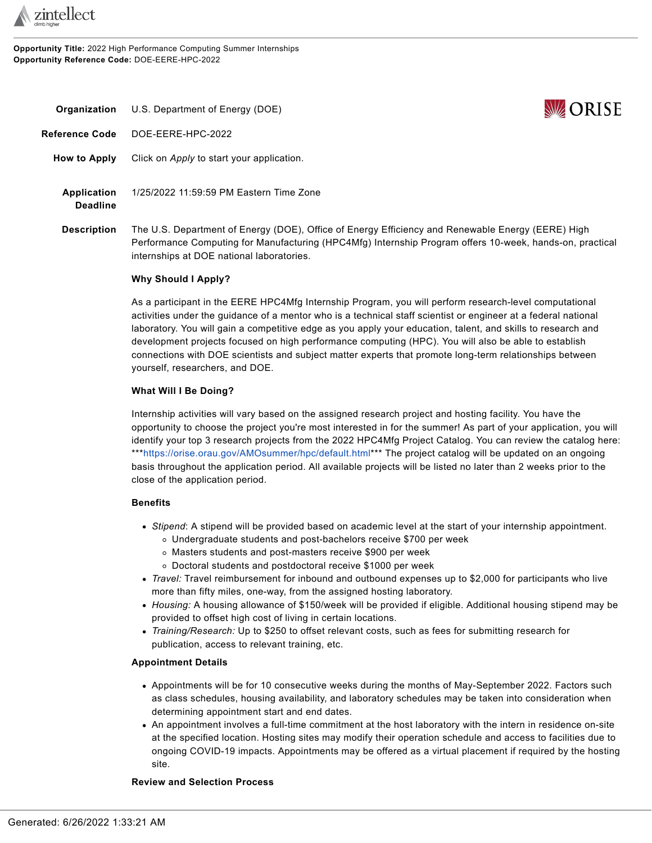

**Opportunity Title:** 2022 High Performance Computing Summer Internships **Opportunity Reference Code:** DOE-EERE-HPC-2022



<span id="page-0-0"></span>**Organization** U.S. Department of Energy (DOE) **Reference Code** DOE-EERE-HPC-2022 **How to Apply** Click on *Apply* to start your application. **Application Deadline** 1/25/2022 11:59:59 PM Eastern Time Zone **Description** The U.S. Department of Energy (DOE), Office of Energy Efficiency and Renewable Energy (EERE) High Performance Computing for Manufacturing (HPC4Mfg) Internship Program offers 10-week, hands-on, practical

### **Why Should I Apply?**

internships at DOE national laboratories.

As a participant in the EERE HPC4Mfg Internship Program, you will perform research-level computational activities under the guidance of a mentor who is a technical staff scientist or engineer at a federal national laboratory. You will gain a competitive edge as you apply your education, talent, and skills to research and development projects focused on high performance computing (HPC). You will also be able to establish connections with DOE scientists and subject matter experts that promote long-term relationships between yourself, researchers, and DOE.

# **What Will I Be Doing?**

Internship activities will vary based on the assigned research project and hosting facility. You have the opportunity to choose the project you're most interested in for the summer! As part of your application, you will identify your top 3 research projects from the 2022 HPC4Mfg Project Catalog. You can review the catalog here: \*\*[\\*https://orise.orau.gov/AMOsummer/hpc/default.html](https://orise.orau.gov/AMOsummer/hpc/default.html)\*\*\* The project catalog will be updated on an ongoing basis throughout the application period. All available projects will be listed no later than 2 weeks prior to the close of the application period.

# **Benefits**

- *Stipend*: A stipend will be provided based on academic level at the start of your internship appointment.
	- Undergraduate students and post-bachelors receive \$700 per week
	- Masters students and post-masters receive \$900 per week
	- Doctoral students and postdoctoral receive \$1000 per week
- *Travel:* Travel reimbursement for inbound and outbound expenses up to \$2,000 for participants who live more than fifty miles, one-way, from the assigned hosting laboratory.
- *Housing:* A housing allowance of \$150/week will be provided if eligible. Additional housing stipend may be provided to offset high cost of living in certain locations.
- *Training/Research:* Up to \$250 to offset relevant costs, such as fees for submitting research for publication, access to relevant training, etc.

# **Appointment Details**

- Appointments will be for 10 consecutive weeks during the months of May-September 2022. Factors such as class schedules, housing availability, and laboratory schedules may be taken into consideration when determining appointment start and end dates.
- An appointment involves a full-time commitment at the host laboratory with the intern in residence on-site at the specified location. Hosting sites may modify their operation schedule and access to facilities due to ongoing COVID-19 impacts. Appointments may be offered as a virtual placement if required by the hosting site.

#### **Review and Selection Process**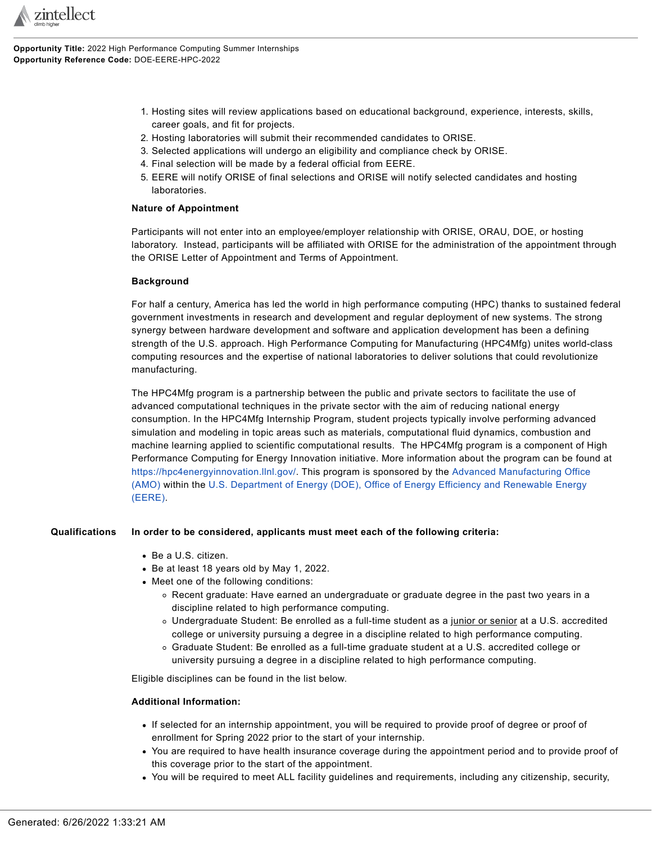

**Opportunity Title:** 2022 High Performance Computing Summer Internships **Opportunity Reference Code:** DOE-EERE-HPC-2022

- 1. Hosting sites will review applications based on educational background, experience, interests, skills, career goals, and fit for projects.
- 2. Hosting laboratories will submit their recommended candidates to ORISE.
- 3. Selected applications will undergo an eligibility and compliance check by ORISE.
- 4. Final selection will be made by a federal official from EERE.
- 5. EERE will notify ORISE of final selections and ORISE will notify selected candidates and hosting laboratories.

# **Nature of Appointment**

Participants will not enter into an employee/employer relationship with ORISE, ORAU, DOE, or hosting laboratory. Instead, participants will be affiliated with ORISE for the administration of the appointment through the ORISE Letter of Appointment and Terms of Appointment.

### **Background**

For half a century, America has led the world in high performance computing (HPC) thanks to sustained federal government investments in research and development and regular deployment of new systems. The strong synergy between hardware development and software and application development has been a defining strength of the U.S. approach. High Performance Computing for Manufacturing (HPC4Mfg) unites world-class computing resources and the expertise of national laboratories to deliver solutions that could revolutionize manufacturing.

The HPC4Mfg program is a partnership between the public and private sectors to facilitate the use of advanced computational techniques in the private sector with the aim of reducing national energy consumption. In the HPC4Mfg Internship Program, student projects typically involve performing advanced simulation and modeling in topic areas such as materials, computational fluid dynamics, combustion and machine learning applied to scientific computational results. The HPC4Mfg program is a component of High Performance Computing for Energy Innovation initiative. More information about the program can be found at <https://hpc4energyinnovation.llnl.gov/>. This program is sponsored by the Advanced [Manufacturing](https://www.energy.gov/eere/amo/advanced-manufacturing-office) Office [\(AMO\)](https://www.energy.gov/eere/amo/advanced-manufacturing-office) within the U.S. [Department](https://www.energy.gov/eere/office-energy-efficiency-renewable-energy) of Energy (DOE), Office of Energy Efficiency and Renewable Energy [\(EERE\)](https://www.energy.gov/eere/office-energy-efficiency-renewable-energy).

# **Qualifications In order to be considered, applicants must meet each of the following criteria:**

- Be a U.S. citizen.
- Be at least 18 years old by May 1, 2022.
- Meet one of the following conditions:
	- Recent graduate: Have earned an undergraduate or graduate degree in the past two years in a discipline related to high performance computing.
	- Undergraduate Student: Be enrolled as a full-time student as a junior or senior at a U.S. accredited college or university pursuing a degree in a discipline related to high performance computing.
	- Graduate Student: Be enrolled as a full-time graduate student at a U.S. accredited college or university pursuing a degree in a discipline related to high performance computing.

Eligible disciplines can be found in the list below.

# **Additional Information:**

- If selected for an internship appointment, you will be required to provide proof of degree or proof of enrollment for Spring 2022 prior to the start of your internship.
- You are required to have health insurance coverage during the appointment period and to provide proof of this coverage prior to the start of the appointment.
- You will be required to meet ALL facility guidelines and requirements, including any citizenship, security,